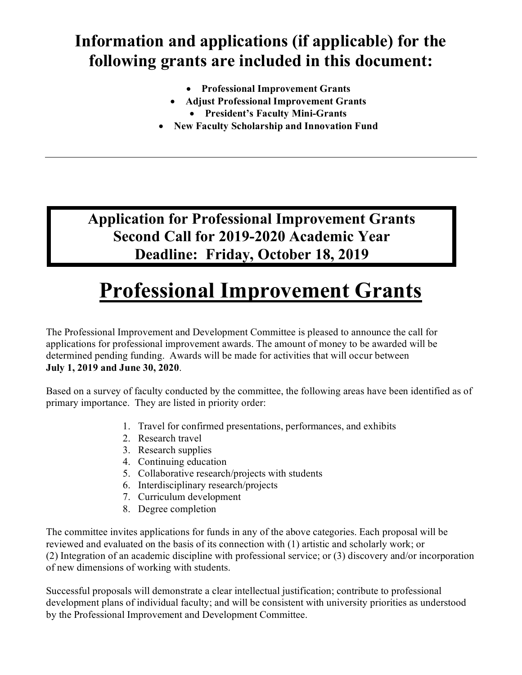## **Information and applications (if applicable) for the following grants are included in this document:**

- **Professional Improvement Grants**
- **Adjust Professional Improvement Grants**
	- **President's Faculty Mini-Grants**
- **New Faculty Scholarship and Innovation Fund**

**Application for Professional Improvement Grants Second Call for 2019-2020 Academic Year Deadline: Friday, October 18, 2019**

# **Professional Improvement Grants**

The Professional Improvement and Development Committee is pleased to announce the call for applications for professional improvement awards. The amount of money to be awarded will be determined pending funding. Awards will be made for activities that will occur between **July 1, 2019 and June 30, 2020**.

Based on a survey of faculty conducted by the committee, the following areas have been identified as of primary importance. They are listed in priority order:

- 1. Travel for confirmed presentations, performances, and exhibits
- 2. Research travel
- 3. Research supplies
- 4. Continuing education
- 5. Collaborative research/projects with students
- 6. Interdisciplinary research/projects
- 7. Curriculum development
- 8. Degree completion

The committee invites applications for funds in any of the above categories. Each proposal will be reviewed and evaluated on the basis of its connection with (1) artistic and scholarly work; or (2) Integration of an academic discipline with professional service; or (3) discovery and/or incorporation of new dimensions of working with students.

Successful proposals will demonstrate a clear intellectual justification; contribute to professional development plans of individual faculty; and will be consistent with university priorities as understood by the Professional Improvement and Development Committee.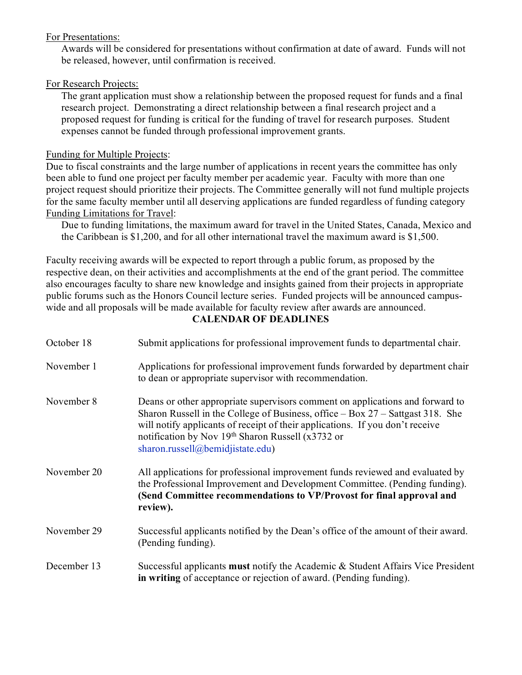#### For Presentations:

Awards will be considered for presentations without confirmation at date of award. Funds will not be released, however, until confirmation is received.

#### For Research Projects:

The grant application must show a relationship between the proposed request for funds and a final research project. Demonstrating a direct relationship between a final research project and a proposed request for funding is critical for the funding of travel for research purposes. Student expenses cannot be funded through professional improvement grants.

#### Funding for Multiple Projects:

Due to fiscal constraints and the large number of applications in recent years the committee has only been able to fund one project per faculty member per academic year. Faculty with more than one project request should prioritize their projects. The Committee generally will not fund multiple projects for the same faculty member until all deserving applications are funded regardless of funding category Funding Limitations for Travel:

Due to funding limitations, the maximum award for travel in the United States, Canada, Mexico and the Caribbean is \$1,200, and for all other international travel the maximum award is \$1,500.

Faculty receiving awards will be expected to report through a public forum, as proposed by the respective dean, on their activities and accomplishments at the end of the grant period. The committee also encourages faculty to share new knowledge and insights gained from their projects in appropriate public forums such as the Honors Council lecture series. Funded projects will be announced campuswide and all proposals will be made available for faculty review after awards are announced.

#### **CALENDAR OF DEADLINES**

| October 18  | Submit applications for professional improvement funds to departmental chair.                                                                                                                                                                                                                                                                 |
|-------------|-----------------------------------------------------------------------------------------------------------------------------------------------------------------------------------------------------------------------------------------------------------------------------------------------------------------------------------------------|
| November 1  | Applications for professional improvement funds forwarded by department chair<br>to dean or appropriate supervisor with recommendation.                                                                                                                                                                                                       |
| November 8  | Deans or other appropriate supervisors comment on applications and forward to<br>Sharon Russell in the College of Business, office $-$ Box 27 $-$ Sattgast 318. She<br>will notify applicants of receipt of their applications. If you don't receive<br>notification by Nov 19th Sharon Russell (x3732 or<br>sharon.russell@bemidjistate.edu) |
| November 20 | All applications for professional improvement funds reviewed and evaluated by<br>the Professional Improvement and Development Committee. (Pending funding).<br>(Send Committee recommendations to VP/Provost for final approval and<br>review).                                                                                               |
| November 29 | Successful applicants notified by the Dean's office of the amount of their award.<br>(Pending funding).                                                                                                                                                                                                                                       |
| December 13 | Successful applicants must notify the Academic & Student Affairs Vice President<br>in writing of acceptance or rejection of award. (Pending funding).                                                                                                                                                                                         |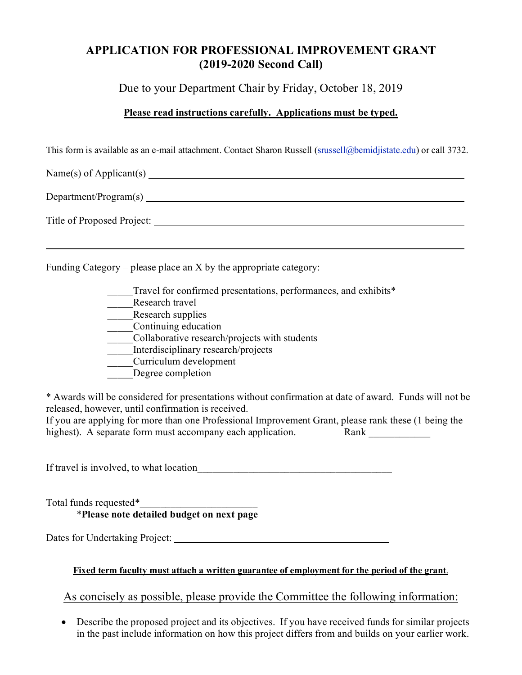### **APPLICATION FOR PROFESSIONAL IMPROVEMENT GRANT (2019-2020 Second Call)**

Due to your Department Chair by Friday, October 18, 2019

#### **Please read instructions carefully. Applications must be typed.**

This form is available as an e-mail attachment. Contact Sharon Russell [\(srussell@bemidjistate.edu\)](mailto:saugustine@bemidjistate.edu) or call 3732.

 $Name(s)$  of Applicant(s) Department/Program(s) Title of Proposed Project:

Funding Category – please place an X by the appropriate category:

- Travel for confirmed presentations, performances, and exhibits\*
- Research travel
- Research supplies
- \_\_\_\_\_Continuing education
- \_\_\_\_\_Collaborative research/projects with students
- \_\_\_\_\_Interdisciplinary research/projects
- \_\_\_\_\_Curriculum development
- Degree completion

\* Awards will be considered for presentations without confirmation at date of award. Funds will not be released, however, until confirmation is received.

If you are applying for more than one Professional Improvement Grant, please rank these (1 being the highest). A separate form must accompany each application. Rank

If travel is involved, to what location

Total funds requested\*\_\_\_\_\_\_\_\_\_\_\_\_\_\_\_\_\_\_\_\_\_\_\_ \***Please note detailed budget on next page**

Dates for Undertaking Project: \_\_\_\_\_\_\_\_\_\_\_\_\_\_\_\_\_\_\_\_\_\_\_\_\_\_\_\_\_\_\_\_\_\_\_\_\_\_\_\_\_\_

#### **Fixed term faculty must attach a written guarantee of employment for the period of the grant**.

As concisely as possible, please provide the Committee the following information:

• Describe the proposed project and its objectives.If you have received funds for similar projects in the past include information on how this project differs from and builds on your earlier work.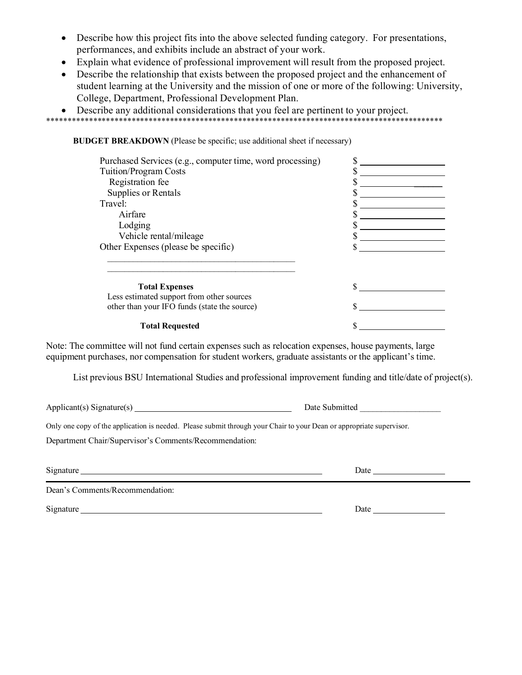- Describe how this project fits into the above selected funding category. For presentations, performances, and exhibits include an abstract of your work.
- Explain what evidence of professional improvement will result from the proposed project.
- Describe the relationship that exists between the proposed project and the enhancement of student learning at the University and the mission of one or more of the following: University, College, Department, Professional Development Plan.

#### • Describe any additional considerations that you feel are pertinent to your project. \*\*\*\*\*\*\*\*\*\*\*\*\*\*\*\*\*\*\*\*\*\*\*\*\*\*\*\*\*\*\*\*\*\*\*\*\*\*\*\*\*\*\*\*\*\*\*\*\*\*\*\*\*\*\*\*\*\*\*\*\*\*\*\*\*\*\*\*\*\*\*\*\*\*\*\*\*\*\*\*\*\*\*\*\*\*\*\*\*\*\*\*\*

**BUDGET BREAKDOWN** (Please be specific; use additional sheet if necessary)

| Purchased Services (e.g., computer time, word processing) |  |
|-----------------------------------------------------------|--|
| Tuition/Program Costs                                     |  |
| Registration fee                                          |  |
| Supplies or Rentals                                       |  |
| Travel:                                                   |  |
| Airfare                                                   |  |
| Lodging                                                   |  |
| Vehicle rental/mileage                                    |  |
| Other Expenses (please be specific)                       |  |
| <b>Total Expenses</b>                                     |  |
| Less estimated support from other sources                 |  |
| other than your IFO funds (state the source)              |  |
| <b>Total Requested</b>                                    |  |

Note: The committee will not fund certain expenses such as relocation expenses, house payments, large equipment purchases, nor compensation for student workers, graduate assistants or the applicant's time.

List previous BSU International Studies and professional improvement funding and title/date of project(s).

Applicant(s) Signature(s) Date Submitted \_\_\_\_\_\_\_\_\_\_\_\_\_\_\_\_\_\_\_

Only one copy of the application is needed. Please submit through your Chair to your Dean or appropriate supervisor.

Department Chair/Supervisor's Comments/Recommendation:

Signature Date

Dean's Comments/Recommendation:

Signature Date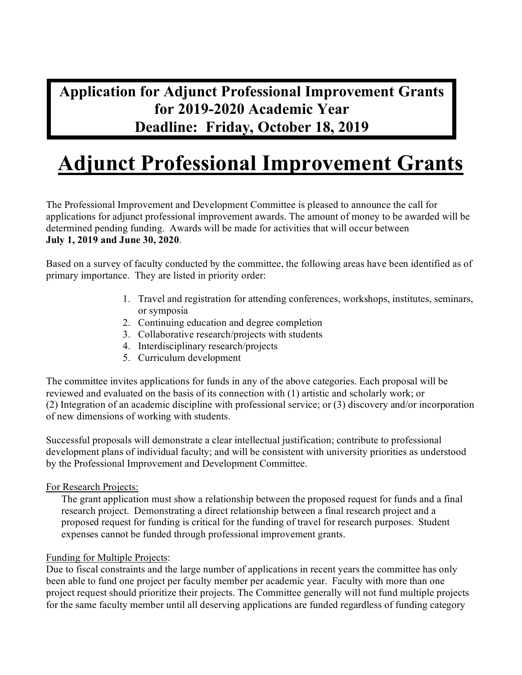## **Application for Adjunct Professional Improvement Grants for 2019-2020 Academic Year Deadline: Friday, October 18, 2019**

# **Adjunct Professional Improvement Grants**

The Professional Improvement and Development Committee is pleased to announce the call for applications for adjunct professional improvement awards. The amount of money to be awarded will be determined pending funding. Awards will be made for activities that will occur between **July 1, 2019 and June 30, 2020**.

Based on a survey of faculty conducted by the committee, the following areas have been identified as of primary importance. They are listed in priority order:

- 1. Travel and registration for attending conferences, workshops, institutes, seminars, or symposia
- 2. Continuing education and degree completion
- 3. Collaborative research/projects with students
- 4. Interdisciplinary research/projects
- 5. Curriculum development

The committee invites applications for funds in any of the above categories. Each proposal will be reviewed and evaluated on the basis of its connection with (1) artistic and scholarly work; or (2) Integration of an academic discipline with professional service; or (3) discovery and/or incorporation of new dimensions of working with students.

Successful proposals will demonstrate a clear intellectual justification; contribute to professional development plans of individual faculty; and will be consistent with university priorities as understood by the Professional Improvement and Development Committee.

#### For Research Projects:

The grant application must show a relationship between the proposed request for funds and a final research project. Demonstrating a direct relationship between a final research project and a proposed request for funding is critical for the funding of travel for research purposes. Student expenses cannot be funded through professional improvement grants.

#### Funding for Multiple Projects:

Due to fiscal constraints and the large number of applications in recent years the committee has only been able to fund one project per faculty member per academic year. Faculty with more than one project request should prioritize their projects. The Committee generally will not fund multiple projects for the same faculty member until all deserving applications are funded regardless of funding category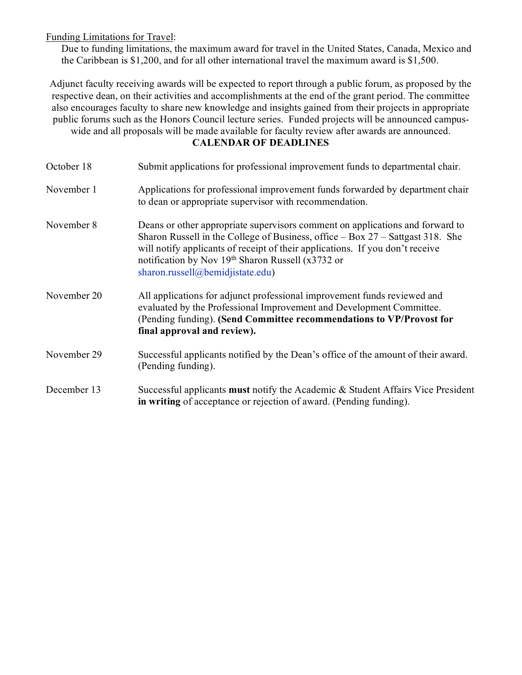Funding Limitations for Travel:

Due to funding limitations, the maximum award for travel in the United States, Canada, Mexico and the Caribbean is \$1,200, and for all other international travel the maximum award is \$1,500.

Adjunct faculty receiving awards will be expected to report through a public forum, as proposed by the respective dean, on their activities and accomplishments at the end of the grant period. The committee also encourages faculty to share new knowledge and insights gained from their projects in appropriate public forums such as the Honors Council lecture series. Funded projects will be announced campuswide and all proposals will be made available for faculty review after awards are announced.

#### **CALENDAR OF DEADLINES**

| October 18  | Submit applications for professional improvement funds to departmental chair.                                                                                                                                                                                                                                                                 |
|-------------|-----------------------------------------------------------------------------------------------------------------------------------------------------------------------------------------------------------------------------------------------------------------------------------------------------------------------------------------------|
| November 1  | Applications for professional improvement funds forwarded by department chair<br>to dean or appropriate supervisor with recommendation.                                                                                                                                                                                                       |
| November 8  | Deans or other appropriate supervisors comment on applications and forward to<br>Sharon Russell in the College of Business, office $-$ Box 27 $-$ Sattgast 318. She<br>will notify applicants of receipt of their applications. If you don't receive<br>notification by Nov 19th Sharon Russell (x3732 or<br>sharon.russell@bemidjistate.edu) |
| November 20 | All applications for adjunct professional improvement funds reviewed and<br>evaluated by the Professional Improvement and Development Committee.<br>(Pending funding). (Send Committee recommendations to VP/Provost for<br>final approval and review).                                                                                       |
| November 29 | Successful applicants notified by the Dean's office of the amount of their award.<br>(Pending funding).                                                                                                                                                                                                                                       |
| December 13 | Successful applicants must notify the Academic & Student Affairs Vice President<br>in writing of acceptance or rejection of award. (Pending funding).                                                                                                                                                                                         |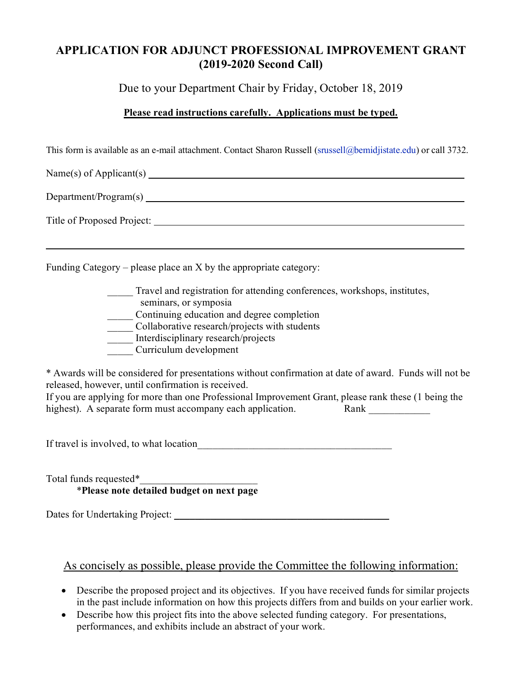### **APPLICATION FOR ADJUNCT PROFESSIONAL IMPROVEMENT GRANT (2019-2020 Second Call)**

Due to your Department Chair by Friday, October 18, 2019

#### **Please read instructions carefully. Applications must be typed.**

This form is available as an e-mail attachment. Contact Sharon Russell [\(srussell@bemidjistate.edu\)](mailto:saugustine@bemidjistate.edu) or call 3732.

Name(s) of Applicant(s) Department/Program(s)

Title of Proposed Project:

Funding Category – please place an X by the appropriate category:

Travel and registration for attending conferences, workshops, institutes, seminars, or symposia \_\_\_\_\_ Continuing education and degree completion \_\_\_\_\_ Collaborative research/projects with students Interdisciplinary research/projects \_\_\_\_\_ Curriculum development

\* Awards will be considered for presentations without confirmation at date of award. Funds will not be released, however, until confirmation is received.

| If you are applying for more than one Professional Improvement Grant, please rank these (1 being the |      |
|------------------------------------------------------------------------------------------------------|------|
| highest). A separate form must accompany each application.                                           | Rank |

If travel is involved, to what location

Total funds requested\*\_\_\_\_\_\_\_\_\_\_\_\_\_\_\_\_\_\_\_\_\_\_\_ \***Please note detailed budget on next page**

Dates for Undertaking Project: \_\_\_\_\_\_\_\_\_\_\_\_\_\_\_\_\_\_\_\_\_\_\_\_\_\_\_\_\_\_\_\_\_\_\_\_\_\_\_\_\_\_

#### As concisely as possible, please provide the Committee the following information:

- Describe the proposed project and its objectives.If you have received funds for similar projects in the past include information on how this projects differs from and builds on your earlier work.
- Describe how this project fits into the above selected funding category. For presentations, performances, and exhibits include an abstract of your work.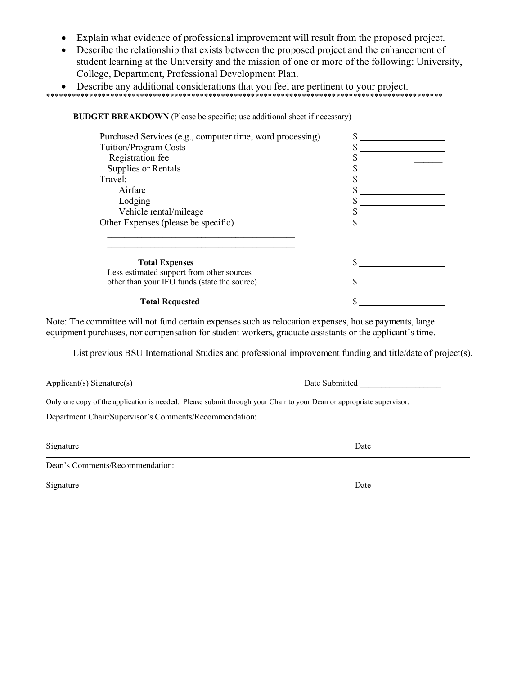- Explain what evidence of professional improvement will result from the proposed project.
- Describe the relationship that exists between the proposed project and the enhancement of student learning at the University and the mission of one or more of the following: University, College, Department, Professional Development Plan.
- Describe any additional considerations that you feel are pertinent to your project.

\*\*\*\*\*\*\*\*\*\*\*\*\*\*\*\*\*\*\*\*\*\*\*\*\*\*\*\*\*\*\*\*\*\*\*\*\*\*\*\*\*\*\*\*\*\*\*\*\*\*\*\*\*\*\*\*\*\*\*\*\*\*\*\*\*\*\*\*\*\*\*\*\*\*\*\*\*\*\*\*\*\*\*\*\*\*\*\*\*\*\*\*\*

**BUDGET BREAKDOWN** (Please be specific; use additional sheet if necessary)

| Purchased Services (e.g., computer time, word processing) |  |
|-----------------------------------------------------------|--|
| Tuition/Program Costs                                     |  |
| Registration fee                                          |  |
| Supplies or Rentals                                       |  |
| Travel:                                                   |  |
| Airfare                                                   |  |
| Lodging                                                   |  |
| Vehicle rental/mileage                                    |  |
| Other Expenses (please be specific)                       |  |
| <b>Total Expenses</b>                                     |  |
| Less estimated support from other sources                 |  |
| other than your IFO funds (state the source)              |  |
| <b>Total Requested</b>                                    |  |

Note: The committee will not fund certain expenses such as relocation expenses, house payments, large equipment purchases, nor compensation for student workers, graduate assistants or the applicant's time.

List previous BSU International Studies and professional improvement funding and title/date of project(s).

Applicant(s) Signature(s) Date Submitted \_\_\_\_\_\_\_\_\_\_\_\_\_\_\_\_\_\_\_

Only one copy of the application is needed. Please submit through your Chair to your Dean or appropriate supervisor.

Department Chair/Supervisor's Comments/Recommendation:

Dean's Comments/Recommendation:

Signature Date

Signature Date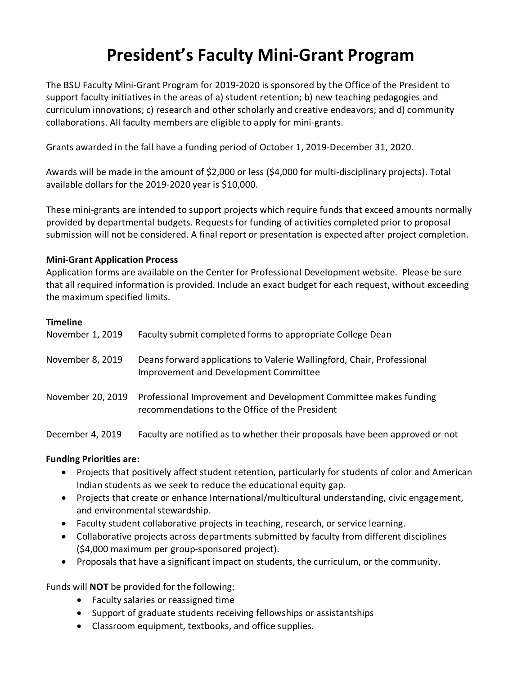## **President's Faculty Mini-Grant Program**

The BSU Faculty Mini-Grant Program for 2019-2020 is sponsored by the Office of the President to support faculty initiatives in the areas of a) student retention; b) new teaching pedagogies and curriculum innovations; c) research and other scholarly and creative endeavors; and d) community collaborations. All faculty members are eligible to apply for mini-grants.

Grants awarded in the fall have a funding period of October 1, 2019-December 31, 2020.

Awards will be made in the amount of \$2,000 or less (\$4,000 for multi-disciplinary projects). Total available dollars for the 2019-2020 year is \$10,000.

These mini-grants are intended to support projects which require funds that exceed amounts normally provided by departmental budgets. Requests for funding of activities completed prior to proposal submission will not be considered. A final report or presentation is expected after project completion.

#### **Mini-Grant Application Process**

Application forms are available on the Center for Professional Development website. Please be sure that all required information is provided. Include an exact budget for each request, without exceeding the maximum specified limits.

#### **Timeline**

| November 1, 2019  | Faculty submit completed forms to appropriate College Dean                                                         |
|-------------------|--------------------------------------------------------------------------------------------------------------------|
| November 8, 2019  | Deans forward applications to Valerie Wallingford, Chair, Professional<br>Improvement and Development Committee    |
| November 20, 2019 | Professional Improvement and Development Committee makes funding<br>recommendations to the Office of the President |
| December 4, 2019  | Faculty are notified as to whether their proposals have been approved or not                                       |

#### **Funding Priorities are:**

- Projects that positively affect student retention, particularly for students of color and American Indian students as we seek to reduce the educational equity gap.
- Projects that create or enhance International/multicultural understanding, civic engagement, and environmental stewardship.
- Faculty student collaborative projects in teaching, research, or service learning.
- Collaborative projects across departments submitted by faculty from different disciplines (\$4,000 maximum per group-sponsored project).
- Proposals that have a significant impact on students, the curriculum, or the community.

Funds will **NOT** be provided for the following:

- Faculty salaries or reassigned time
- Support of graduate students receiving fellowships or assistantships
- Classroom equipment, textbooks, and office supplies.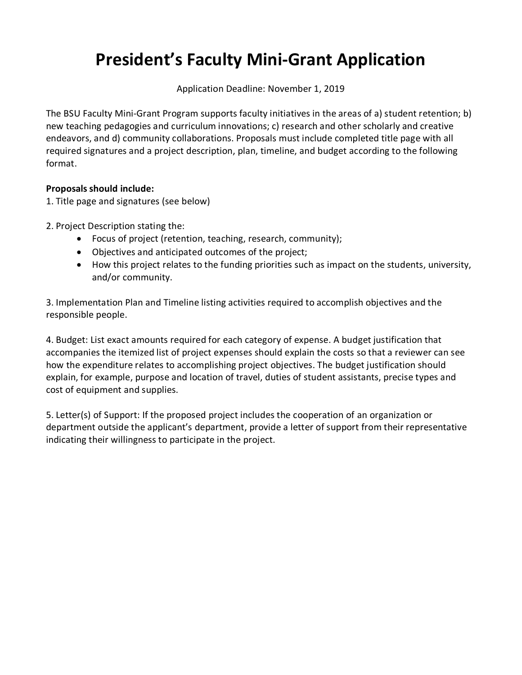## **President's Faculty Mini-Grant Application**

Application Deadline: November 1, 2019

The BSU Faculty Mini-Grant Program supports faculty initiatives in the areas of a) student retention; b) new teaching pedagogies and curriculum innovations; c) research and other scholarly and creative endeavors, and d) community collaborations. Proposals must include completed title page with all required signatures and a project description, plan, timeline, and budget according to the following format.

#### **Proposals should include:**

1. Title page and signatures (see below)

- 2. Project Description stating the:
	- Focus of project (retention, teaching, research, community);
	- Objectives and anticipated outcomes of the project;
	- How this project relates to the funding priorities such as impact on the students, university, and/or community.

3. Implementation Plan and Timeline listing activities required to accomplish objectives and the responsible people.

4. Budget: List exact amounts required for each category of expense. A budget justification that accompanies the itemized list of project expenses should explain the costs so that a reviewer can see how the expenditure relates to accomplishing project objectives. The budget justification should explain, for example, purpose and location of travel, duties of student assistants, precise types and cost of equipment and supplies.

5. Letter(s) of Support: If the proposed project includes the cooperation of an organization or department outside the applicant's department, provide a letter of support from their representative indicating their willingness to participate in the project.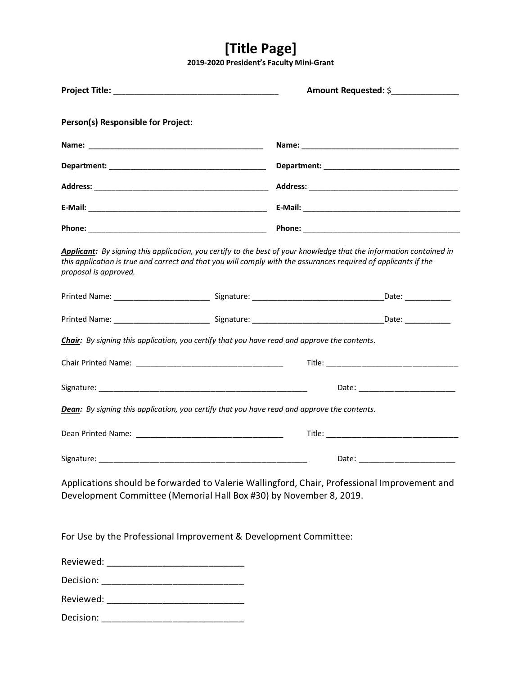### **[Title Page]**

**2019-2020 President's Faculty Mini-Grant** 

|                                                                  | Amount Requested: \$                                                                                                                                                                                                                   |
|------------------------------------------------------------------|----------------------------------------------------------------------------------------------------------------------------------------------------------------------------------------------------------------------------------------|
| Person(s) Responsible for Project:                               |                                                                                                                                                                                                                                        |
|                                                                  |                                                                                                                                                                                                                                        |
|                                                                  |                                                                                                                                                                                                                                        |
|                                                                  |                                                                                                                                                                                                                                        |
|                                                                  |                                                                                                                                                                                                                                        |
|                                                                  |                                                                                                                                                                                                                                        |
| proposal is approved.                                            | Applicant: By signing this application, you certify to the best of your knowledge that the information contained in<br>this application is true and correct and that you will comply with the assurances required of applicants if the |
|                                                                  |                                                                                                                                                                                                                                        |
|                                                                  |                                                                                                                                                                                                                                        |
|                                                                  | <b>Chair:</b> By signing this application, you certify that you have read and approve the contents.                                                                                                                                    |
|                                                                  |                                                                                                                                                                                                                                        |
|                                                                  | Date: _______________________                                                                                                                                                                                                          |
|                                                                  | <b>Dean:</b> By signing this application, you certify that you have read and approve the contents.                                                                                                                                     |
|                                                                  |                                                                                                                                                                                                                                        |
| Signature:                                                       | Date:                                                                                                                                                                                                                                  |
|                                                                  | Applications should be forwarded to Valerie Wallingford, Chair, Professional Improvement and<br>Development Committee (Memorial Hall Box #30) by November 8, 2019.                                                                     |
|                                                                  |                                                                                                                                                                                                                                        |
| For Use by the Professional Improvement & Development Committee: |                                                                                                                                                                                                                                        |
|                                                                  |                                                                                                                                                                                                                                        |
|                                                                  |                                                                                                                                                                                                                                        |
|                                                                  |                                                                                                                                                                                                                                        |
|                                                                  |                                                                                                                                                                                                                                        |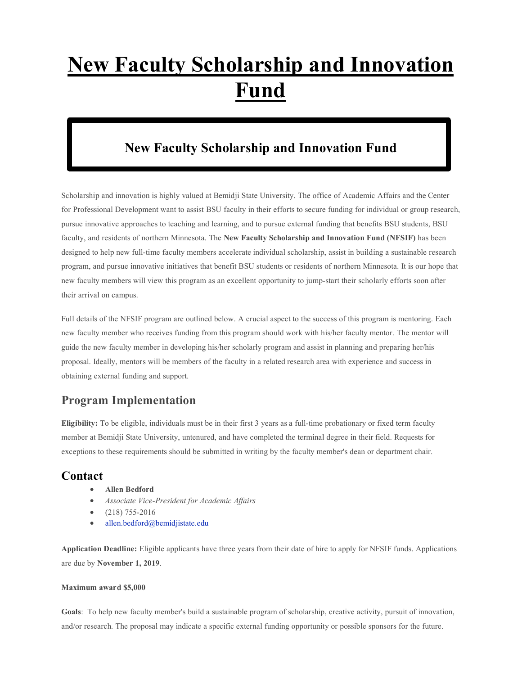# **New Faculty Scholarship and Innovation Fund**

### **New Faculty Scholarship and Innovation Fund**

Scholarship and innovation is highly valued at Bemidji State University. The office of Academic Affairs and the Center for Professional Development want to assist BSU faculty in their efforts to secure funding for individual or group research, pursue innovative approaches to teaching and learning, and to pursue external funding that benefits BSU students, BSU faculty, and residents of northern Minnesota. The **New Faculty Scholarship and Innovation Fund (NFSIF)** has been designed to help new full-time faculty members accelerate individual scholarship, assist in building a sustainable research program, and pursue innovative initiatives that benefit BSU students or residents of northern Minnesota. It is our hope that new faculty members will view this program as an excellent opportunity to jump-start their scholarly efforts soon after their arrival on campus.

Full details of the NFSIF program are outlined below. A crucial aspect to the success of this program is mentoring. Each new faculty member who receives funding from this program should work with his/her faculty mentor. The mentor will guide the new faculty member in developing his/her scholarly program and assist in planning and preparing her/his proposal. Ideally, mentors will be members of the faculty in a related research area with experience and success in obtaining external funding and support.

#### **Program Implementation**

**Eligibility:** To be eligible, individuals must be in their first 3 years as a full-time probationary or fixed term faculty member at Bemidji State University, untenured, and have completed the terminal degree in their field. Requests for exceptions to these requirements should be submitted in writing by the faculty member's dean or department chair.

#### **Contact**

- **Allen Bedford**
- *Associate Vice-President for Academic Affairs*
- (218) 755-2016
- [allen.bedford@bemidjistate.edu](mailto:allen.bedford@bemidjistate.edu)

**Application Deadline:** Eligible applicants have three years from their date of hire to apply for NFSIF funds. Applications are due by **November 1, 2019**.

#### **Maximum award \$5,000**

**Goals**: To help new faculty member's build a sustainable program of scholarship, creative activity, pursuit of innovation, and/or research. The proposal may indicate a specific external funding opportunity or possible sponsors for the future.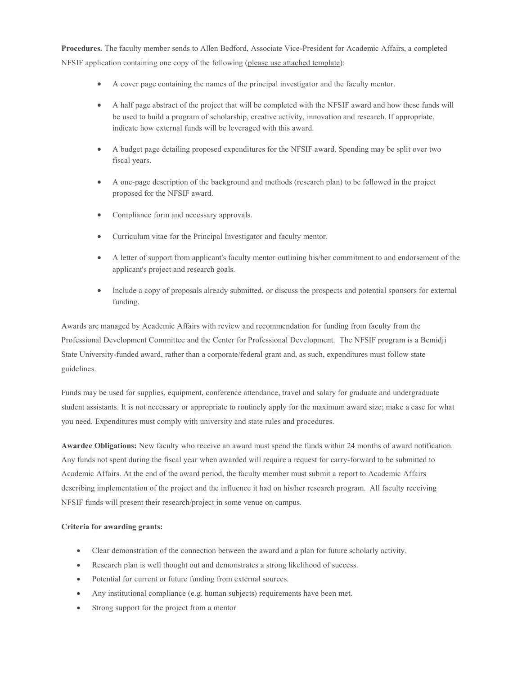**Procedures.** The faculty member sends to Allen Bedford, Associate Vice-President for Academic Affairs, a completed NFSIF application containing one copy of the following (please use attached template):

- A cover page containing the names of the principal investigator and the faculty mentor.
- A half page abstract of the project that will be completed with the NFSIF award and how these funds will be used to build a program of scholarship, creative activity, innovation and research. If appropriate, indicate how external funds will be leveraged with this award.
- A budget page detailing proposed expenditures for the NFSIF award. Spending may be split over two fiscal years.
- A one-page description of the background and methods (research plan) to be followed in the project proposed for the NFSIF award.
- Compliance form and necessary approvals.
- Curriculum vitae for the Principal Investigator and faculty mentor.
- A letter of support from applicant's faculty mentor outlining his/her commitment to and endorsement of the applicant's project and research goals.
- Include a copy of proposals already submitted, or discuss the prospects and potential sponsors for external funding.

Awards are managed by Academic Affairs with review and recommendation for funding from faculty from the Professional Development Committee and the Center for Professional Development. The NFSIF program is a Bemidji State University-funded award, rather than a corporate/federal grant and, as such, expenditures must follow state guidelines.

Funds may be used for supplies, equipment, conference attendance, travel and salary for graduate and undergraduate student assistants. It is not necessary or appropriate to routinely apply for the maximum award size; make a case for what you need. Expenditures must comply with university and state rules and procedures.

**Awardee Obligations:** New faculty who receive an award must spend the funds within 24 months of award notification. Any funds not spent during the fiscal year when awarded will require a request for carry-forward to be submitted to Academic Affairs. At the end of the award period, the faculty member must submit a report to Academic Affairs describing implementation of the project and the influence it had on his/her research program. All faculty receiving NFSIF funds will present their research/project in some venue on campus.

#### **Criteria for awarding grants:**

- Clear demonstration of the connection between the award and a plan for future scholarly activity.
- Research plan is well thought out and demonstrates a strong likelihood of success.
- Potential for current or future funding from external sources.
- Any institutional compliance (e.g. human subjects) requirements have been met.
- Strong support for the project from a mentor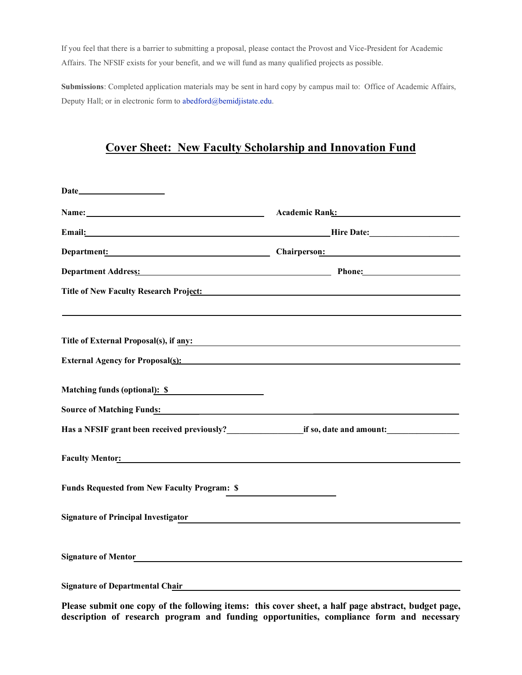If you feel that there is a barrier to submitting a proposal, please contact the Provost and Vice-President for Academic Affairs. The NFSIF exists for your benefit, and we will fund as many qualified projects as possible.

**Submissions**: Completed application materials may be sent in hard copy by campus mail to: Office of Academic Affairs, Deputy Hall; or in electronic form to [abedford@bemidjistate.edu.](mailto:abedford@bemidjistate.edu)

#### **Cover Sheet: New Faculty Scholarship and Innovation Fund**

| Name: Name:                                                                                                                                                                                                                         | Academic Rank: Name of Academic Ranks and Academic Ranks and Academic Ranks and Academic Ranks and Academic Ranks and Academic Ranks and Academic Ranks and Academic Ranks and Academic Ranks and Academic Ranks and Academic |  |
|-------------------------------------------------------------------------------------------------------------------------------------------------------------------------------------------------------------------------------------|-------------------------------------------------------------------------------------------------------------------------------------------------------------------------------------------------------------------------------|--|
| Email: Hire Date: Hire Date:                                                                                                                                                                                                        |                                                                                                                                                                                                                               |  |
| Department: Chairperson: Chairperson:                                                                                                                                                                                               |                                                                                                                                                                                                                               |  |
| Department Address: Phone: Phone:                                                                                                                                                                                                   |                                                                                                                                                                                                                               |  |
| Title of New Faculty Research Project:                                                                                                                                                                                              |                                                                                                                                                                                                                               |  |
| Title of External Proposal(s), if any:                                                                                                                                                                                              |                                                                                                                                                                                                                               |  |
| External Agency for Proposal(s): Note that the set of the set of the set of the set of the set of the set of the set of the set of the set of the set of the set of the set of the set of the set of the set of the set of the      |                                                                                                                                                                                                                               |  |
|                                                                                                                                                                                                                                     |                                                                                                                                                                                                                               |  |
| Matching funds (optional): \$                                                                                                                                                                                                       |                                                                                                                                                                                                                               |  |
| Source of Matching Funds: <u>contract the contract of Matching Funds:</u>                                                                                                                                                           |                                                                                                                                                                                                                               |  |
|                                                                                                                                                                                                                                     |                                                                                                                                                                                                                               |  |
| <b>Faculty Mentor:</b> The Contract of the Contract of the Contract of the Contract of the Contract of the Contract of the Contract of the Contract of the Contract of the Contract of the Contract of the Contract of the Contract |                                                                                                                                                                                                                               |  |
| <b>Funds Requested from New Faculty Program: \$</b>                                                                                                                                                                                 |                                                                                                                                                                                                                               |  |
| <b>Signature of Principal Investigator</b>                                                                                                                                                                                          |                                                                                                                                                                                                                               |  |
|                                                                                                                                                                                                                                     |                                                                                                                                                                                                                               |  |
| <b>Signature of Departmental Chair</b>                                                                                                                                                                                              |                                                                                                                                                                                                                               |  |

**Please submit one copy of the following items: this cover sheet, a half page abstract, budget page, description of research program and funding opportunities, compliance form and necessary**